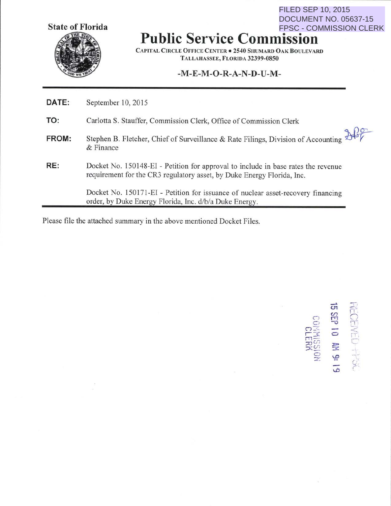**State of Florida** 



**Public Service Commission**  FPSC - COMMISSION CLERK

CAPITAL CIRCLE OFFICE CENTER • 2540 SHUMARD OAK BOULEVARD TALLAHASSEE, FLORIDA 32399-0850

## **-M-E-M-0-R-A-N-D-U-M-**

| DATE: | September 10, 2015                                                                                                                                          |
|-------|-------------------------------------------------------------------------------------------------------------------------------------------------------------|
| TO:   | Carlotta S. Stauffer, Commission Clerk, Office of Commission Clerk                                                                                          |
| FROM: | Stephen B. Fletcher, Chief of Surveillance & Rate Filings, Division of Accounting 245                                                                       |
| RE:   | Docket No. 150148-EI - Petition for approval to include in base rates the revenue<br>requirement for the CR3 regulatory asset, by Duke Energy Florida, Inc. |
|       | Docket No. 150171-EI - Petition for issuance of nuclear asset-recovery financing<br>order, by Duke Energy Florida, Inc. d/b/a Duke Energy.                  |

Please file the attached summary in the above mentioned Docket Files.

- U1 ,..-..  $\ddot{\phantom{0}}$ ි<br>සි 2 3 D  $\widetilde{\mathbb{R}}$   $\widetilde{\mathbb{R}}$  :  $\widetilde{\mathbb{R}}$  $\frac{1}{2}$   $\frac{1}{2}$ C> *'-R*   $^{\circ}$  $\overline{11}$  $\frac{1}{\Gamma}$  $\lessapprox$ c r .\_ ("

FILED SEP 10, 2015

DOCUMENT NO. 05637-15